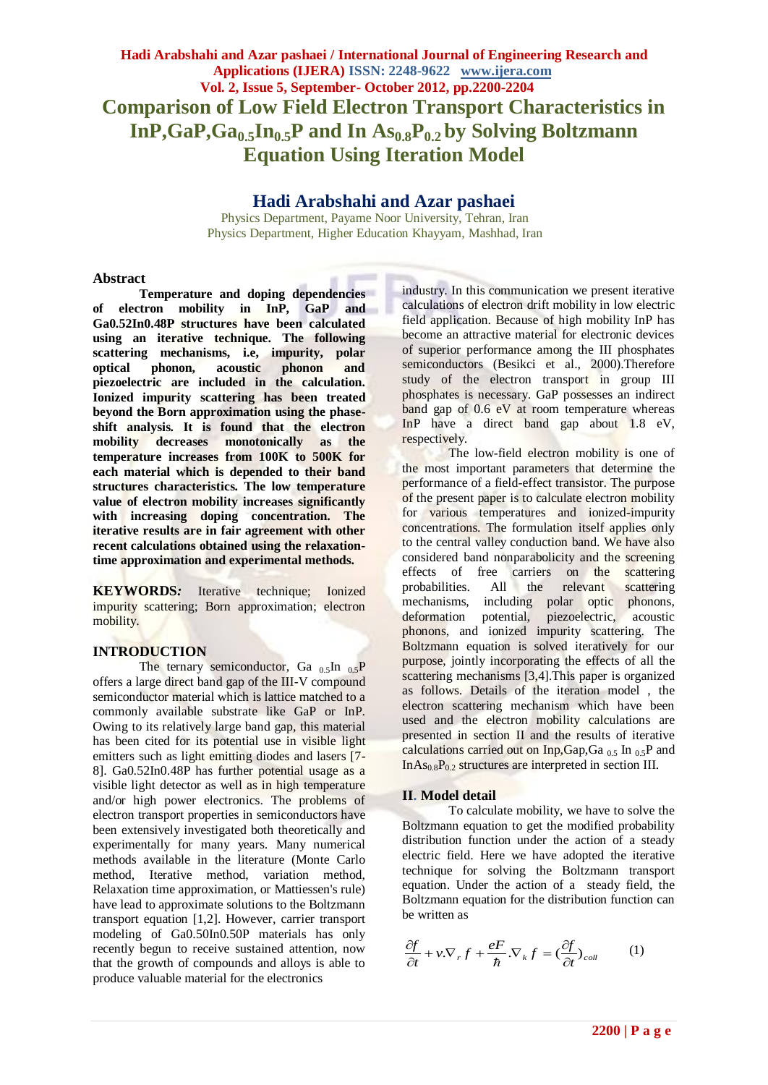**Hadi Arabshahi and Azar pashaei / International Journal of Engineering Research and Applications (IJERA) ISSN: 2248-9622 www.ijera.com Vol. 2, Issue 5, September- October 2012, pp.2200-2204 Comparison of Low Field Electron Transport Characteristics in InP,GaP,Ga0.5In0.5P and In As0.8P0.2 by Solving Boltzmann Equation Using Iteration Model**

## **Hadi Arabshahi and Azar pashaei**

Physics Department, Payame Noor University, Tehran, Iran Physics Department, Higher Education Khayyam, Mashhad, Iran

### **Abstract**

**Temperature and doping dependencies of electron mobility in InP, GaP and Ga0.52In0.48P structures have been calculated using an iterative technique. The following scattering mechanisms, i.e, impurity, polar optical phonon, acoustic phonon and piezoelectric are included in the calculation. Ionized impurity scattering has been treated beyond the Born approximation using the phaseshift analysis. It is found that the electron mobility decreases monotonically as the temperature increases from 100K to 500K for each material which is depended to their band structures characteristics. The low temperature value of electron mobility increases significantly with increasing doping concentration. The iterative results are in fair agreement with other recent calculations obtained using the relaxationtime approximation and experimental methods.**

**KEYWORDS***:* Iterative technique; Ionized impurity scattering; Born approximation; electron mobility.

## **INTRODUCTION**

The ternary semiconductor, Ga  $_{0.5}$ In  $_{0.5}$ P offers a large direct band gap of the III-V compound semiconductor material which is lattice matched to a commonly available substrate like GaP or InP. Owing to its relatively large band gap, this material has been cited for its potential use in visible light emitters such as light emitting diodes and lasers [7- 8]. Ga0.52In0.48P has further potential usage as a visible light detector as well as in high temperature and/or high power electronics. The problems of electron transport properties in semiconductors have been extensively investigated both theoretically and experimentally for many years. Many numerical methods available in the literature (Monte Carlo method, Iterative method, variation method, Relaxation time approximation, or Mattiessen's rule) have lead to approximate solutions to the Boltzmann transport equation [1,2]. However, carrier transport modeling of Ga0.50In0.50P materials has only recently begun to receive sustained attention, now that the growth of compounds and alloys is able to produce valuable material for the electronics

industry. In this communication we present iterative calculations of electron drift mobility in low electric field application. Because of high mobility InP has become an attractive material for electronic devices of superior performance among the III phosphates semiconductors (Besikci et al., 2000). Therefore study of the electron transport in group III phosphates is necessary. GaP possesses an indirect band gap of 0.6 eV at room temperature whereas InP have a direct band gap about 1.8 eV, respectively.

The low-field electron mobility is one of the most important parameters that determine the performance of a field-effect transistor. The purpose of the present paper is to calculate electron mobility for various temperatures and ionized-impurity concentrations. The formulation itself applies only to the central valley conduction band. We have also considered band nonparabolicity and the screening effects of free carriers on the scattering<br>probabilities. All the relevant scattering probabilities. All the relevant mechanisms, including polar optic phonons, deformation potential, piezoelectric, acoustic phonons, and ionized impurity scattering. The Boltzmann equation is solved iteratively for our purpose, jointly incorporating the effects of all the scattering mechanisms [3,4].This paper is organized as follows. Details of the iteration model , the electron scattering mechanism which have been used and the electron mobility calculations are presented in section II and the results of iterative calculations carried out on Inp, Gap, Ga  $_{0.5}$  In  $_{0.5}$ P and  $InAs<sub>0.8</sub>P<sub>0.2</sub> structures are interpreted in section III.$ 

## **II. Model detail**

To calculate mobility, we have to solve the Boltzmann equation to get the modified probability distribution function under the action of a steady electric field. Here we have adopted the iterative technique for solving the Boltzmann transport equation. Under the action of a steady field, the Boltzmann equation for the distribution function can be written as

$$
\frac{\partial f}{\partial t} + v \cdot \nabla_r f + \frac{eF}{\hbar} \cdot \nabla_k f = \left(\frac{\partial f}{\partial t}\right)_{coll} \tag{1}
$$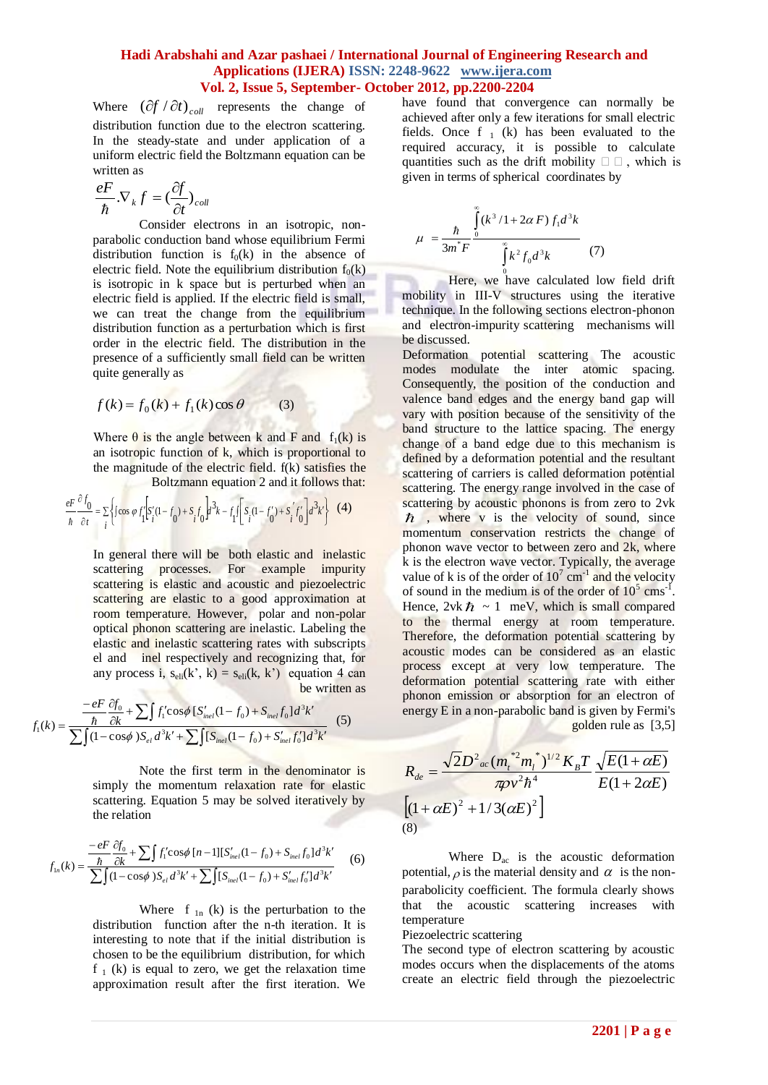## **Hadi Arabshahi and Azar pashaei / International Journal of Engineering Research and Applications (IJERA) ISSN: 2248-9622 www.ijera.com Vol. 2, Issue 5, September- October 2012, pp.2200-2204**

Where  $(\partial f / \partial t)_{coll}$  represents the change of distribution function due to the electron scattering. In the steady-state and under application of a uniform electric field the Boltzmann equation can be written as

$$
\frac{eF}{\hbar}.\nabla_{k}f=(\frac{\partial f}{\partial t})_{coll}
$$

Consider electrons in an isotropic, nonparabolic conduction band whose equilibrium Fermi distribution function is  $f_0(k)$  in the absence of electric field. Note the equilibrium distribution  $f_0(k)$ is isotropic in k space but is perturbed when an electric field is applied. If the electric field is small, we can treat the change from the equilibrium distribution function as a perturbation which is first order in the electric field. The distribution in the presence of a sufficiently small field can be written quite generally as

$$
f(k) = f_0(k) + f_1(k)\cos\theta \tag{3}
$$

Where  $\theta$  is the angle between k and F and f<sub>1</sub>(k) is an isotropic function of k, which is proportional to the magnitude of the electric field. f(k) satisfies the Boltzmann equation 2 and it follows that:

$$
\frac{eF}{\hbar} \frac{\partial f_0}{\partial t} = \sum_{i} \left\{ \int \cos \varphi f'_i \left[ S'_i (1 - f_0) + S_i f_0 \right] d^3k - f_1 f \left[ S_i (1 - f'_0) + S'_i f'_0 \right] d^3k \right\} \tag{4}
$$

**All Advertising Contracts** 

In general there will be both elastic and inelastic scattering processes. For example impurity scattering is elastic and acoustic and piezoelectric scattering are elastic to a good approximation at room temperature. However, polar and non-polar optical phonon scattering are inelastic. Labeling the elastic and inelastic scattering rates with subscripts el and inel respectively and recognizing that, for any process i,  $s_{\text{eli}}(k, k) = s_{\text{eli}}(k, k')$  equation 4 can be written as

$$
f_1(k) = \frac{-eF}{\sum f_1(k)} \frac{\partial f_0}{\partial k} + \sum \int f_1' \cos \phi \left[ S'_{inel}(1 - f_0) + S_{inel} f_0 \right] d^3 k'}{\sum \int (1 - \cos \phi) S_{el} d^3 k' + \sum \int [S_{inel}(1 - f_0) + S'_{inel} f_0'] d^3 k'} \tag{5}
$$

Note the first term in the denominator is simply the momentum relaxation rate for elastic scattering. Equation 5 may be solved iteratively by the relation

$$
f_{1n}(k) = \frac{-eF}{\frac{\hbar}{\Delta k} + \sum \int f'_1 \cos\phi \left[ n - 1 \right] \left[ S'_{inel} (1 - f_0) + S_{inel} f_0 \right] d^3 k'}{\sum \int (1 - \cos\phi) S_{el} d^3 k' + \sum \int [S_{inel} (1 - f_0) + S'_{inel} f'_0] d^3 k'} \tag{6}
$$

Where  $f_{ln}(k)$  is the perturbation to the distribution function after the n-th iteration. It is interesting to note that if the initial distribution is chosen to be the equilibrium distribution, for which  $f_1$  (k) is equal to zero, we get the relaxation time approximation result after the first iteration. We have found that convergence can normally be achieved after only a few iterations for small electric fields. Once  $f_1(k)$  has been evaluated to the required accuracy, it is possible to calculate quantities such as the drift mobility  $\square \square$ , which is given in terms of spherical coordinates by

$$
\mu = \frac{\hbar}{3m^*F} \frac{\int_{0}^{\infty} (k^3 / 1 + 2\alpha F) f_1 d^3 k}{\int_{0}^{\infty} k^2 f_0 d^3 k}
$$
 (7)

Here, we have calculated low field drift mobility in III-V structures using the iterative technique. In the following sections electron-phonon and electron-impurity scattering mechanisms will be discussed.

Deformation potential scattering The acoustic modes modulate the inter atomic spacing. Consequently, the position of the conduction and valence band edges and the energy band gap will vary with position because of the sensitivity of the band structure to the lattice spacing. The energy change of a band edge due to this mechanism is defined by a deformation potential and the resultant scattering of carriers is called deformation potential scattering. The energy range involved in the case of scattering by acoustic phonons is from zero to 2vk  $\hbar$  , where v is the velocity of sound, since momentum conservation restricts the change of phonon wave vector to between zero and 2k, where k is the electron wave vector. Typically, the average value of k is of the order of  $10^7$  cm<sup>-1</sup> and the velocity of sound in the medium is of the order of  $10^5$  cms<sup>-1</sup> . Hence,  $2vk \hbar \sim 1$  meV, which is small compared to the thermal energy at room temperature. Therefore, the deformation potential scattering by acoustic modes can be considered as an elastic process except at very low temperature. The deformation potential scattering rate with either phonon emission or absorption for an electron of energy E in a non-parabolic band is given by Fermi's golden rule as [3,5]

$$
R_{de} = \frac{\sqrt{2}D^2_{ac} (m_t^{*2}m_l^{*})^{1/2} K_B T}{\pi \rho v^2 \hbar^4} \frac{\sqrt{E(1+\alpha E)}}{E(1+2\alpha E)}
$$
  
(1+\alpha E)^2 + 1/3( $\alpha E$ )<sup>2</sup>]  
(8)

Where  $D_{ac}$  is the acoustic deformation potential,  $\rho$  is the material density and  $\alpha$  is the nonparabolicity coefficient. The formula clearly shows that the acoustic scattering increases with temperature

Piezoelectric scattering

The second type of electron scattering by acoustic modes occurs when the displacements of the atoms create an electric field through the piezoelectric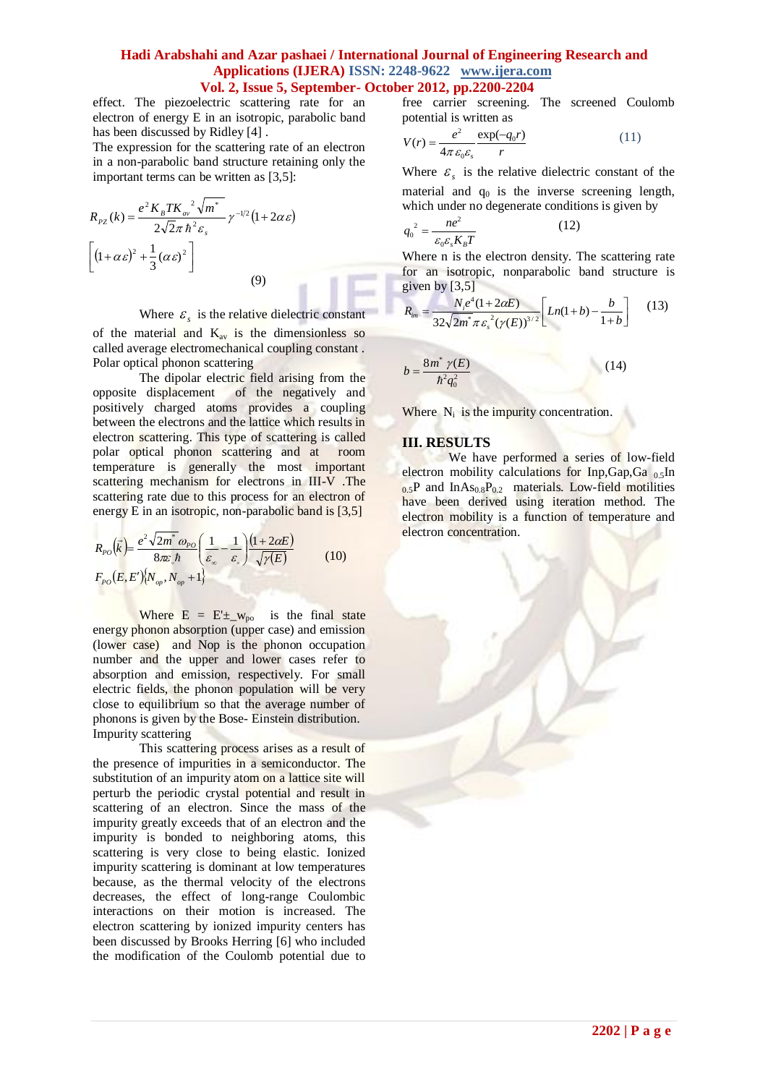### **Hadi Arabshahi and Azar pashaei / International Journal of Engineering Research and Applications (IJERA) ISSN: 2248-9622 www.ijera.com Vol. 2, Issue 5, September- October 2012, pp.2200-2204**

effect. The piezoelectric scattering rate for an electron of energy E in an isotropic, parabolic band has been discussed by Ridley [4] .

The expression for the scattering rate of an electron in a non-parabolic band structure retaining only the important terms can be written as [3,5]:

$$
R_{pz}(k) = \frac{e^2 K_B T K_{av}^2 \sqrt{m^*}}{2\sqrt{2}\pi \hbar^2 \varepsilon_s} \gamma^{-1/2} (1 + 2\alpha \varepsilon)
$$

$$
\left[ (1 + \alpha \varepsilon)^2 + \frac{1}{3} (\alpha \varepsilon)^2 \right]
$$
(9)

# Where  $\varepsilon$ <sub>s</sub> is the relative dielectric constant

of the material and  $K_{av}$  is the dimensionless so called average electromechanical coupling constant . Polar optical phonon scattering

The dipolar electric field arising from the opposite displacement of the negatively and positively charged atoms provides a coupling between the electrons and the lattice which results in electron scattering. This type of scattering is called polar optical phonon scattering and at room temperature is generally the most important scattering mechanism for electrons in III-V .The scattering rate due to this process for an electron of energy E in an isotropic, non-parabolic band is [3,5]

$$
R_{po}(\vec{k}) = \frac{e^2 \sqrt{2m^*} \omega_{po}}{8\pi \epsilon_b \hbar} \left(\frac{1}{\epsilon_{\infty}} - \frac{1}{\epsilon_{\infty}}\right) \frac{(1 + 2\alpha E)}{\sqrt{\gamma(E)}} \qquad (10)
$$

$$
F_{po}(E, E') \{N_{op}, N_{op} + 1\}
$$

Where  $E = E^{\perp} \sim_{\text{po}}$  is the final state energy phonon absorption (upper case) and emission (lower case) and Nop is the phonon occupation number and the upper and lower cases refer to absorption and emission, respectively. For small electric fields, the phonon population will be very close to equilibrium so that the average number of phonons is given by the Bose- Einstein distribution. Impurity scattering

This scattering process arises as a result of the presence of impurities in a semiconductor. The substitution of an impurity atom on a lattice site will perturb the periodic crystal potential and result in scattering of an electron. Since the mass of the impurity greatly exceeds that of an electron and the impurity is bonded to neighboring atoms, this scattering is very close to being elastic. Ionized impurity scattering is dominant at low temperatures because, as the thermal velocity of the electrons decreases, the effect of long-range Coulombic interactions on their motion is increased. The electron scattering by ionized impurity centers has been discussed by Brooks Herring [6] who included the modification of the Coulomb potential due to free carrier screening. The screened Coulomb potential is written as

$$
V(r) = \frac{e^2}{4\pi \varepsilon_0 \varepsilon_s} \frac{\exp(-q_0 r)}{r}
$$
 (11)

Where  $\varepsilon$ <sub>s</sub> is the relative dielectric constant of the material and  $q_0$  is the inverse screening length, which under no degenerate conditions is given by

$$
q_0^2 = \frac{ne^2}{\varepsilon_0 \varepsilon_s K_B T} \tag{12}
$$

Where n is the electron density. The scattering rate for an isotropic, nonparabolic band structure is given by  $[3,5]$ 

$$
R_{im} = \frac{N_i e^4 (1 + 2\alpha E)}{32\sqrt{2m^*} \pi \varepsilon_s^2 (\gamma(E))^{3/2}} \left[ Ln(1+b) - \frac{b}{1+b} \right] \quad (13)
$$

$$
b = \frac{8m^* \ \gamma(E)}{\hbar^2 q_0^2} \tag{14}
$$

Where  $N_i$  is the impurity concentration.

#### **III. RESULTS**

We have performed a series of low-field electron mobility calculations for Inp,Gap,Ga  $_{0.5}$ In  $0.5P$  and InAs<sub>0.8</sub>P<sub>0.2</sub> materials. Low-field motilities have been derived using iteration method. The electron mobility is a function of temperature and electron concentration.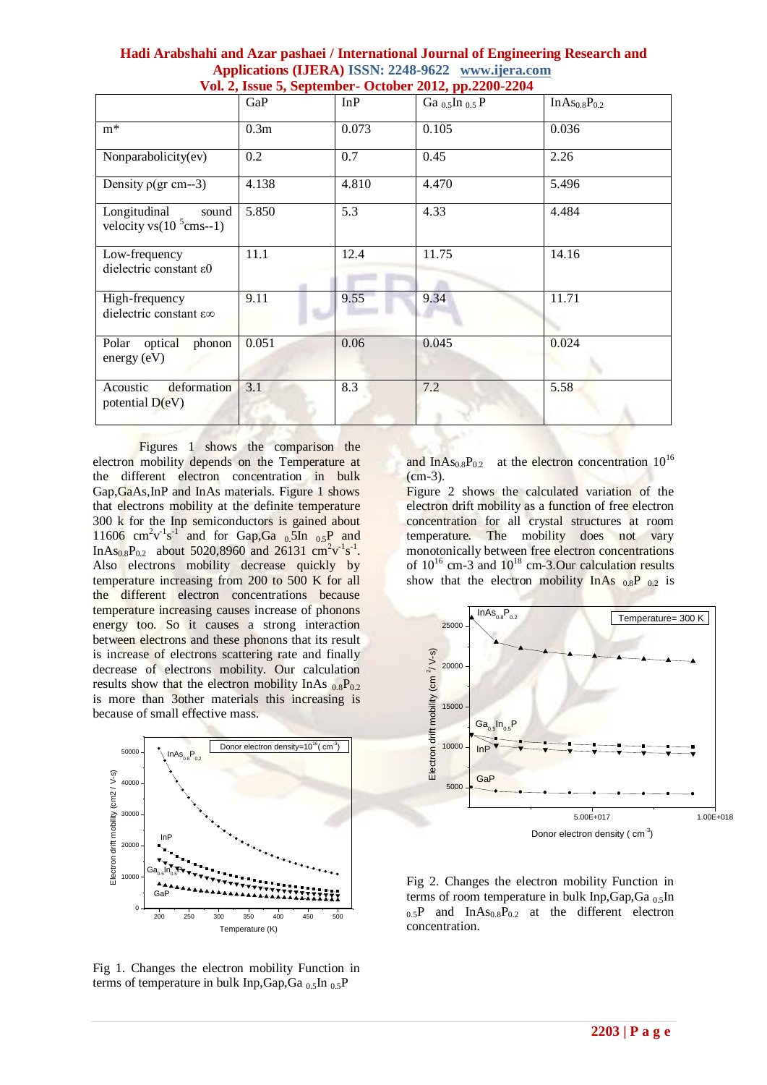|                                                        | GaP              | InP   | Ga $_{0.5}$ In $_{0.5}$ P | $InAs_{0.8}P_{0.2}$ |
|--------------------------------------------------------|------------------|-------|---------------------------|---------------------|
| $m^*$                                                  | 0.3 <sub>m</sub> | 0.073 | 0.105                     | 0.036               |
| Nonparabolicity(ev)                                    | 0.2              | 0.7   | 0.45                      | 2.26                |
| Density $\rho(\text{gr cm--3})$                        | 4.138            | 4.810 | 4.470                     | 5.496               |
| Longitudinal<br>sound<br>velocity vs $(10^{5}$ cms--1) | 5.850            | 5.3   | 4.33                      | 4.484               |
| Low-frequency<br>dielectric constant $\varepsilon$ 0   | 11.1             | 12.4  | 11.75                     | 14.16               |
| High-frequency<br>dielectric constant ε∞               | 9.11             | 9.55  | 9.34                      | 11.71               |
| Polar optical<br>phonon<br>energy $(eV)$               | 0.051            | 0.06  | 0.045                     | 0.024               |
| deformation<br>Acoustic<br>potential $D(eV)$           | 3.1              | 8.3   | 7.2                       | 5.58                |

| Hadi Arabshahi and Azar pashaei / International Journal of Engineering Research and |  |
|-------------------------------------------------------------------------------------|--|
| Applications (IJERA) ISSN: 2248-9622 www.ijera.com                                  |  |
| Vol. 2, Issue 5, September- October 2012, pp.2200-2204                              |  |

Figures 1 shows the comparison the electron mobility depends on the Temperature at the different electron concentration in bulk Gap,GaAs,InP and InAs materials. Figure 1 shows that electrons mobility at the definite temperature 300 k for the Inp semiconductors is gained about 11606  $\text{cm}^2\text{v}^1\text{s}^1$  and for Gap, Ga 0.5In 0.5P and InAs<sub>0.8</sub>P<sub>0.2</sub> about 5020,8960 and 26131 cm<sup>2</sup>v<sup>-1</sup>s<sup>-1</sup>. Also electrons mobility decrease quickly by temperature increasing from 200 to 500 K for all the different electron concentrations because temperature increasing causes increase of phonons energy too. So it causes a strong interaction between electrons and these phonons that its result is increase of electrons scattering rate and finally decrease of electrons mobility. Our calculation results show that the electron mobility InAs  $_{0.8}P_{0.2}$ is more than 3other materials this increasing is because of small effective mass.



Fig 1. Changes the electron mobility Function in terms of temperature in bulk Inp, Gap, Ga<sub>0.5</sub>In  $_0$ <sub>5</sub>P

and In $As_{0.8}P_{0.2}$  at the electron concentration  $10^{16}$ (cm-3).

Figure 2 shows the calculated variation of the electron drift mobility as a function of free electron concentration for all crystal structures at room temperature. The mobility does not vary monotonically between free electron concentrations of  $10^{16}$  cm-3 and  $10^{18}$  cm-3.Our calculation results show that the electron mobility InAs  $_{0.8}P_{0.2}$  is



Fig 2. Changes the electron mobility Function in terms of room temperature in bulk Inp, Gap, Ga  $_0$ , In  $_{0.5}P$  and InAs<sub>0.8</sub>P<sub>0.2</sub> at the different electron concentration.